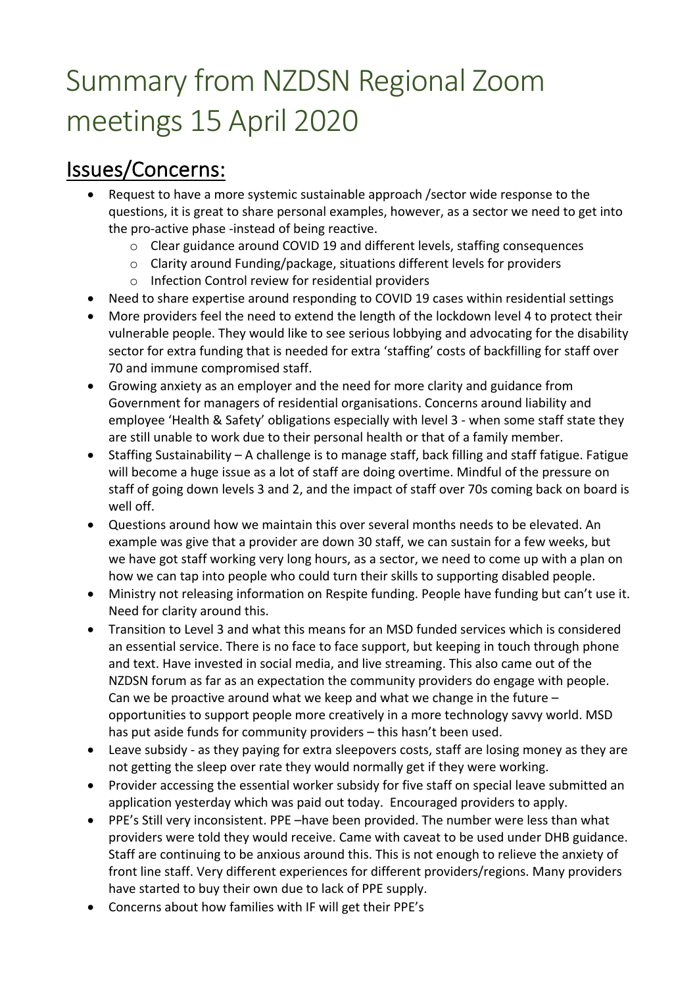# Summary from NZDSN Regional Zoom meetings 15 April 2020

## Issues/Concerns:

- Request to have a more systemic sustainable approach /sector wide response to the questions, it is great to share personal examples, however, as a sector we need to get into the pro-active phase -instead of being reactive.
	- o Clear guidance around COVID 19 and different levels, staffing consequences
	- o Clarity around Funding/package, situations different levels for providers
	- o Infection Control review for residential providers
- Need to share expertise around responding to COVID 19 cases within residential settings
- More providers feel the need to extend the length of the lockdown level 4 to protect their vulnerable people. They would like to see serious lobbying and advocating for the disability sector for extra funding that is needed for extra 'staffing' costs of backfilling for staff over 70 and immune compromised staff.
- Growing anxiety as an employer and the need for more clarity and guidance from Government for managers of residential organisations. Concerns around liability and employee 'Health & Safety' obligations especially with level 3 - when some staff state they are still unable to work due to their personal health or that of a family member.
- Staffing Sustainability A challenge is to manage staff, back filling and staff fatigue. Fatigue will become a huge issue as a lot of staff are doing overtime. Mindful of the pressure on staff of going down levels 3 and 2, and the impact of staff over 70s coming back on board is well off.
- Questions around how we maintain this over several months needs to be elevated. An example was give that a provider are down 30 staff, we can sustain for a few weeks, but we have got staff working very long hours, as a sector, we need to come up with a plan on how we can tap into people who could turn their skills to supporting disabled people.
- Ministry not releasing information on Respite funding. People have funding but can't use it. Need for clarity around this.
- Transition to Level 3 and what this means for an MSD funded services which is considered an essential service. There is no face to face support, but keeping in touch through phone and text. Have invested in social media, and live streaming. This also came out of the NZDSN forum as far as an expectation the community providers do engage with people. Can we be proactive around what we keep and what we change in the future – opportunities to support people more creatively in a more technology savvy world. MSD has put aside funds for community providers – this hasn't been used.
- Leave subsidy as they paying for extra sleepovers costs, staff are losing money as they are not getting the sleep over rate they would normally get if they were working.
- Provider accessing the essential worker subsidy for five staff on special leave submitted an application yesterday which was paid out today. Encouraged providers to apply.
- PPE's Still very inconsistent. PPE –have been provided. The number were less than what providers were told they would receive. Came with caveat to be used under DHB guidance. Staff are continuing to be anxious around this. This is not enough to relieve the anxiety of front line staff. Very different experiences for different providers/regions. Many providers have started to buy their own due to lack of PPE supply.
- Concerns about how families with IF will get their PPE's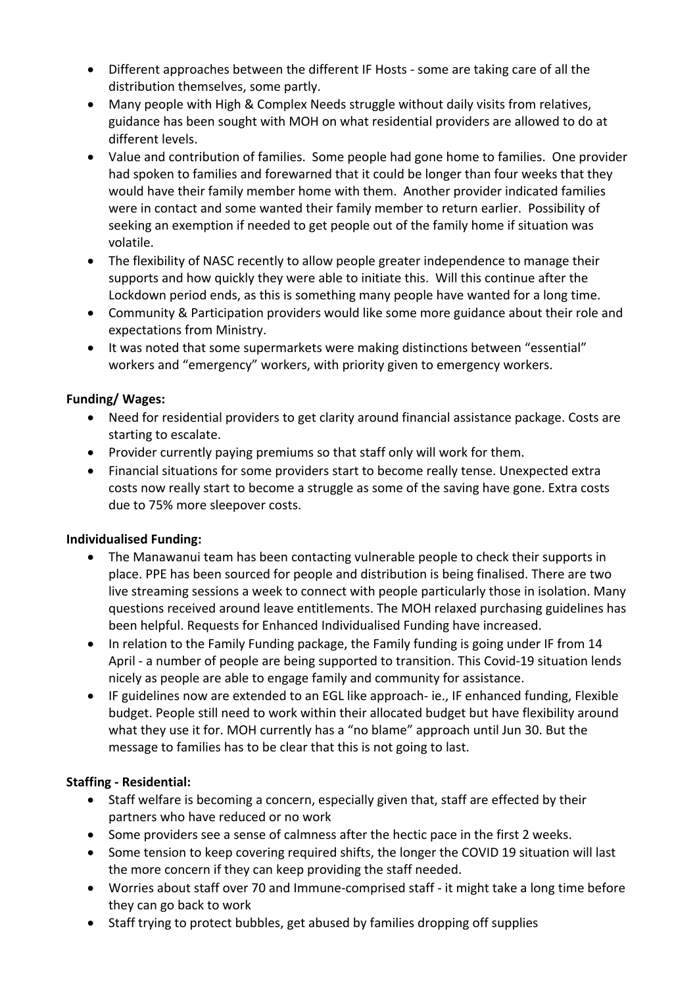- Different approaches between the different IF Hosts some are taking care of all the distribution themselves, some partly.
- Many people with High & Complex Needs struggle without daily visits from relatives, guidance has been sought with MOH on what residential providers are allowed to do at different levels.
- Value and contribution of families. Some people had gone home to families. One provider had spoken to families and forewarned that it could be longer than four weeks that they would have their family member home with them. Another provider indicated families were in contact and some wanted their family member to return earlier. Possibility of seeking an exemption if needed to get people out of the family home if situation was volatile.
- The flexibility of NASC recently to allow people greater independence to manage their supports and how quickly they were able to initiate this. Will this continue after the Lockdown period ends, as this is something many people have wanted for a long time.
- Community & Participation providers would like some more guidance about their role and expectations from Ministry.
- It was noted that some supermarkets were making distinctions between "essential" workers and "emergency" workers, with priority given to emergency workers.

### **Funding/ Wages:**

- Need for residential providers to get clarity around financial assistance package. Costs are starting to escalate.
- Provider currently paying premiums so that staff only will work for them.
- Financial situations for some providers start to become really tense. Unexpected extra costs now really start to become a struggle as some of the saving have gone. Extra costs due to 75% more sleepover costs.

### **Individualised Funding:**

- The Manawanui team has been contacting vulnerable people to check their supports in place. PPE has been sourced for people and distribution is being finalised. There are two live streaming sessions a week to connect with people particularly those in isolation. Many questions received around leave entitlements. The MOH relaxed purchasing guidelines has been helpful. Requests for Enhanced Individualised Funding have increased.
- In relation to the Family Funding package, the Family funding is going under IF from 14 April - a number of people are being supported to transition. This Covid-19 situation lends nicely as people are able to engage family and community for assistance.
- IF guidelines now are extended to an EGL like approach- ie., IF enhanced funding, Flexible budget. People still need to work within their allocated budget but have flexibility around what they use it for. MOH currently has a "no blame" approach until Jun 30. But the message to families has to be clear that this is not going to last.

### **Staffing - Residential:**

- Staff welfare is becoming a concern, especially given that, staff are effected by their partners who have reduced or no work
- Some providers see a sense of calmness after the hectic pace in the first 2 weeks.
- Some tension to keep covering required shifts, the longer the COVID 19 situation will last the more concern if they can keep providing the staff needed.
- Worries about staff over 70 and Immune-comprised staff it might take a long time before they can go back to work
- Staff trying to protect bubbles, get abused by families dropping off supplies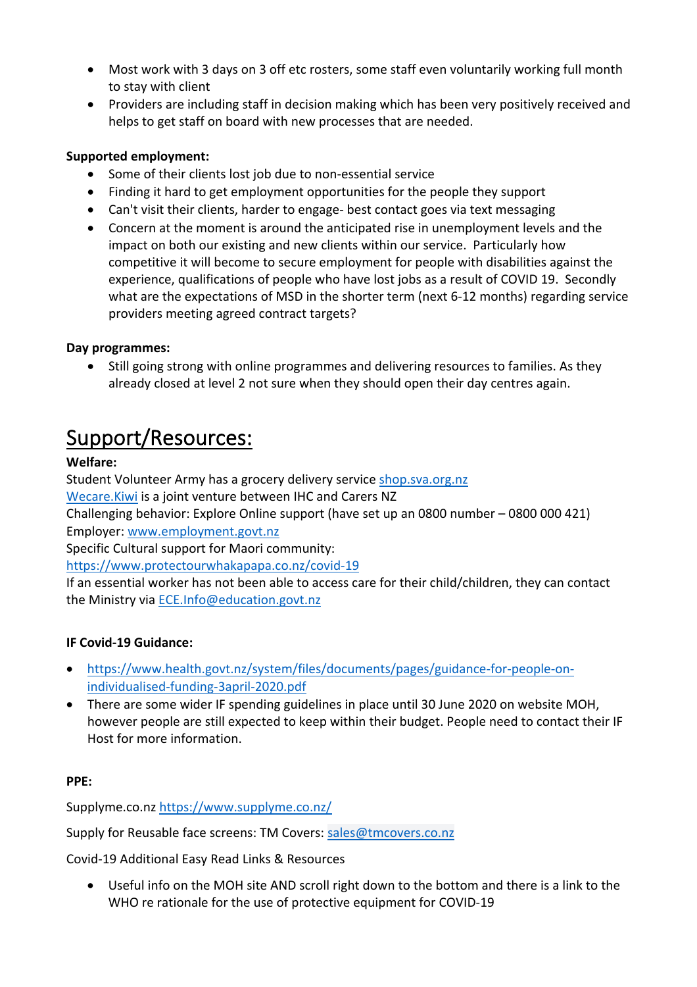- Most work with 3 days on 3 off etc rosters, some staff even voluntarily working full month to stay with client
- Providers are including staff in decision making which has been very positively received and helps to get staff on board with new processes that are needed.

### **Supported employment:**

- Some of their clients lost job due to non-essential service
- Finding it hard to get employment opportunities for the people they support
- Can't visit their clients, harder to engage- best contact goes via text messaging
- Concern at the moment is around the anticipated rise in unemployment levels and the impact on both our existing and new clients within our service. Particularly how competitive it will become to secure employment for people with disabilities against the experience, qualifications of people who have lost jobs as a result of COVID 19. Secondly what are the expectations of MSD in the shorter term (next 6-12 months) regarding service providers meeting agreed contract targets?

### **Day programmes:**

• Still going strong with online programmes and delivering resources to families. As they already closed at level 2 not sure when they should open their day centres again.

### Support/Resources:

### **Welfare:**

Student Volunteer Army has a grocery delivery service shop.sva.org.nz

Wecare.Kiwi is a joint venture between IHC and Carers NZ

Challenging behavior: Explore Online support (have set up an 0800 number – 0800 000 421) Employer: www.employment.govt.nz

Specific Cultural support for Maori community:

https://www.protectourwhakapapa.co.nz/covid-19

If an essential worker has not been able to access care for their child/children, they can contact the Ministry via ECE.Info@education.govt.nz

### **IF Covid-19 Guidance:**

- https://www.health.govt.nz/system/files/documents/pages/guidance-for-people-onindividualised-funding-3april-2020.pdf
- There are some wider IF spending guidelines in place until 30 June 2020 on website MOH, however people are still expected to keep within their budget. People need to contact their IF Host for more information.

### **PPE:**

Supplyme.co.nz https://www.supplyme.co.nz/

Supply for Reusable face screens: TM Covers: sales@tmcovers.co.nz

Covid-19 Additional Easy Read Links & Resources

• Useful info on the MOH site AND scroll right down to the bottom and there is a link to the WHO re rationale for the use of protective equipment for COVID-19